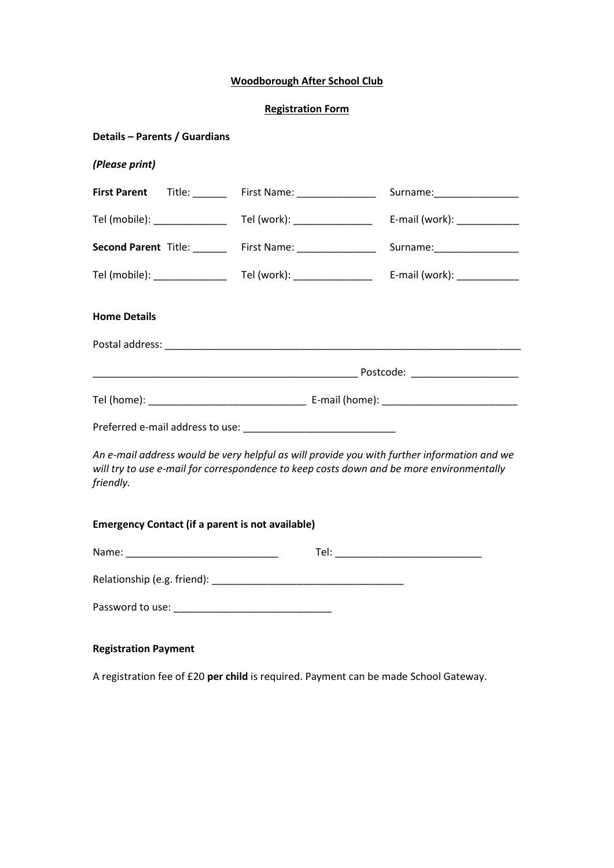## **Woodborough After School Club**

### **Registration Form**

| Details - Parents / Guardians  |                                                         |                                                                                                                                                                                         |  |
|--------------------------------|---------------------------------------------------------|-----------------------------------------------------------------------------------------------------------------------------------------------------------------------------------------|--|
| (Please print)                 |                                                         |                                                                                                                                                                                         |  |
| First Parent Title: _____      | First Name: __________________                          | Surname:____________________                                                                                                                                                            |  |
| Tel (mobile): ______________   | Tel (work): __________________                          | E-mail (work): _____________                                                                                                                                                            |  |
| Second Parent Title: ______    | First Name: __________________                          | Surname:__________________                                                                                                                                                              |  |
| Tel (mobile): ________________ | Tel (work): __________________                          | E-mail (work): ____________                                                                                                                                                             |  |
| <b>Home Details</b>            |                                                         |                                                                                                                                                                                         |  |
|                                |                                                         |                                                                                                                                                                                         |  |
|                                |                                                         |                                                                                                                                                                                         |  |
|                                |                                                         |                                                                                                                                                                                         |  |
|                                |                                                         |                                                                                                                                                                                         |  |
| friendly.                      |                                                         | An e-mail address would be very helpful as will provide you with further information and we<br>will try to use e-mail for correspondence to keep costs down and be more environmentally |  |
|                                | <b>Emergency Contact (if a parent is not available)</b> |                                                                                                                                                                                         |  |
|                                |                                                         |                                                                                                                                                                                         |  |
|                                |                                                         |                                                                                                                                                                                         |  |
|                                |                                                         |                                                                                                                                                                                         |  |
|                                |                                                         |                                                                                                                                                                                         |  |

# **Registration Payment**

A registration fee of £20 **per child** is required. Payment can be made School Gateway.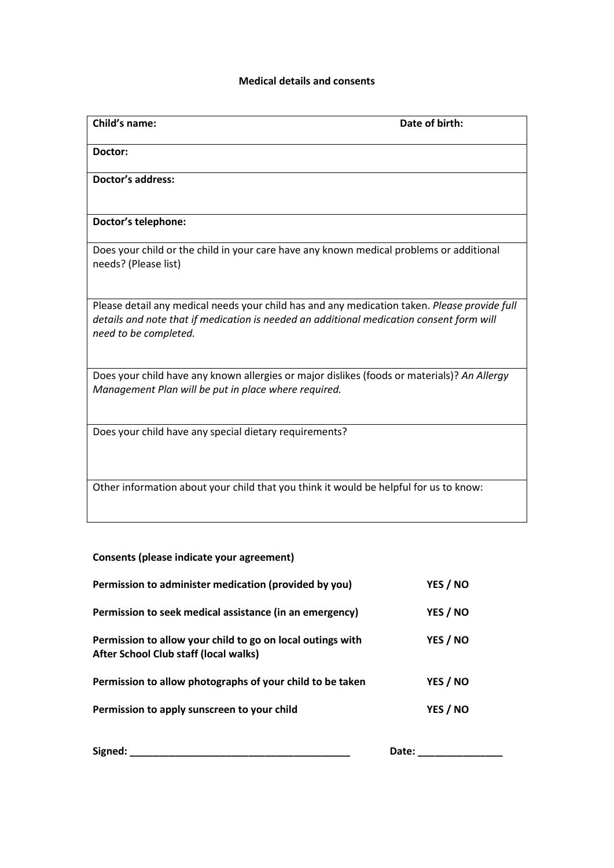### **Medical details and consents**

| Child's name:                                                                                                                                                                                                     | Date of birth: |
|-------------------------------------------------------------------------------------------------------------------------------------------------------------------------------------------------------------------|----------------|
| Doctor:                                                                                                                                                                                                           |                |
| <b>Doctor's address:</b>                                                                                                                                                                                          |                |
| Doctor's telephone:                                                                                                                                                                                               |                |
| Does your child or the child in your care have any known medical problems or additional<br>needs? (Please list)                                                                                                   |                |
| Please detail any medical needs your child has and any medication taken. Please provide full<br>details and note that if medication is needed an additional medication consent form will<br>need to be completed. |                |
| Does your child have any known allergies or major dislikes (foods or materials)? An Allergy<br>Management Plan will be put in place where required.                                                               |                |
| Does your child have any special dietary requirements?                                                                                                                                                            |                |
| Other information about your child that you think it would be helpful for us to know:                                                                                                                             |                |

## **Consents (please indicate your agreement)**

| Permission to administer medication (provided by you)                                               | YES / NO |
|-----------------------------------------------------------------------------------------------------|----------|
| Permission to seek medical assistance (in an emergency)                                             | YES / NO |
| Permission to allow your child to go on local outings with<br>After School Club staff (local walks) | YES / NO |
| Permission to allow photographs of your child to be taken                                           | YES / NO |
| Permission to apply sunscreen to your child                                                         | YES / NO |
| Signed:                                                                                             | Date:    |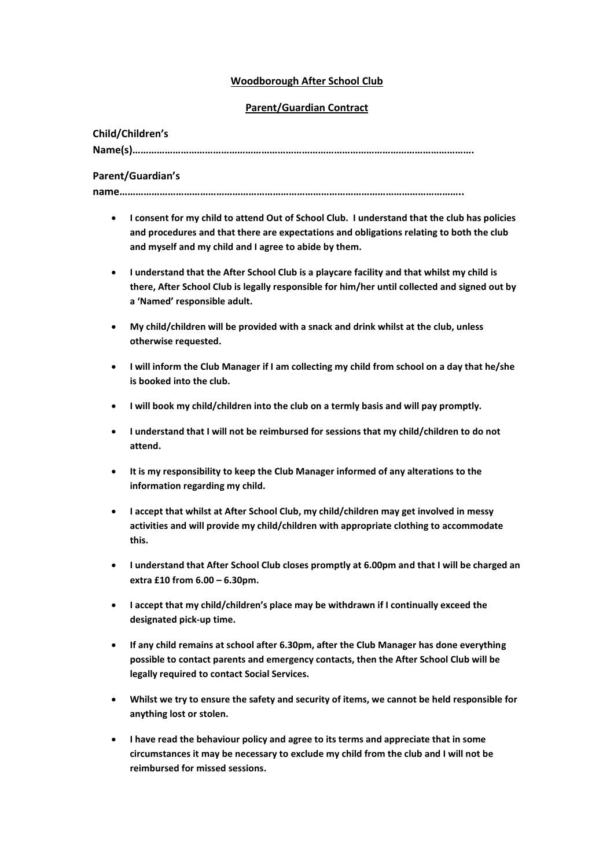### **Woodborough After School Club**

### **Parent/Guardian Contract**

### **Child/Children's**

**Name(s)……………………………………………………………………………………………………………….**

### **Parent/Guardian's**

**name………………………………………………………………………………………………………………..**

- **I consent for my child to attend Out of School Club. I understand that the club has policies and procedures and that there are expectations and obligations relating to both the club and myself and my child and I agree to abide by them.**
- **I understand that the After School Club is a playcare facility and that whilst my child is there, After School Club is legally responsible for him/her until collected and signed out by a 'Named' responsible adult.**
- **My child/children will be provided with a snack and drink whilst at the club, unless otherwise requested.**
- **I will inform the Club Manager if I am collecting my child from school on a day that he/she is booked into the club.**
- **I will book my child/children into the club on a termly basis and will pay promptly.**
- **I understand that I will not be reimbursed for sessions that my child/children to do not attend.**
- **It is my responsibility to keep the Club Manager informed of any alterations to the information regarding my child.**
- **I accept that whilst at After School Club, my child/children may get involved in messy activities and will provide my child/children with appropriate clothing to accommodate this.**
- **I understand that After School Club closes promptly at 6.00pm and that I will be charged an extra £10 from 6.00 – 6.30pm.**
- **I accept that my child/children's place may be withdrawn if I continually exceed the designated pick-up time.**
- **If any child remains at school after 6.30pm, after the Club Manager has done everything possible to contact parents and emergency contacts, then the After School Club will be legally required to contact Social Services.**
- **Whilst we try to ensure the safety and security of items, we cannot be held responsible for anything lost or stolen.**
- **I have read the behaviour policy and agree to its terms and appreciate that in some circumstances it may be necessary to exclude my child from the club and I will not be reimbursed for missed sessions.**